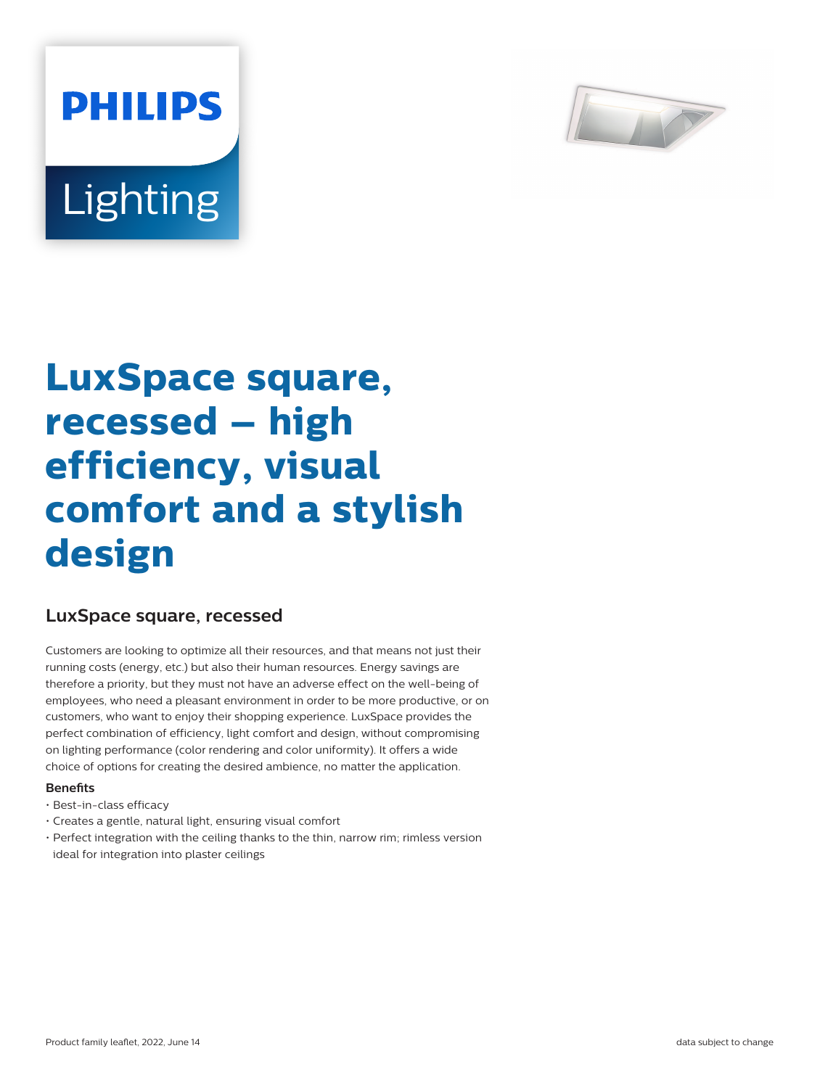

# **Lighting**

**PHILIPS** 

# **LuxSpace square, recessed – high efficiency, visual comfort and a stylish design**

### **LuxSpace square, recessed**

Customers are looking to optimize all their resources, and that means not just their running costs (energy, etc.) but also their human resources. Energy savings are therefore a priority, but they must not have an adverse effect on the well-being of employees, who need a pleasant environment in order to be more productive, or on customers, who want to enjoy their shopping experience. LuxSpace provides the perfect combination of efficiency, light comfort and design, without compromising on lighting performance (color rendering and color uniformity). It offers a wide choice of options for creating the desired ambience, no matter the application.

#### **Benefits**

- Best-in-class efficacy
- Creates a gentle, natural light, ensuring visual comfort
- Perfect integration with the ceiling thanks to the thin, narrow rim; rimless version ideal for integration into plaster ceilings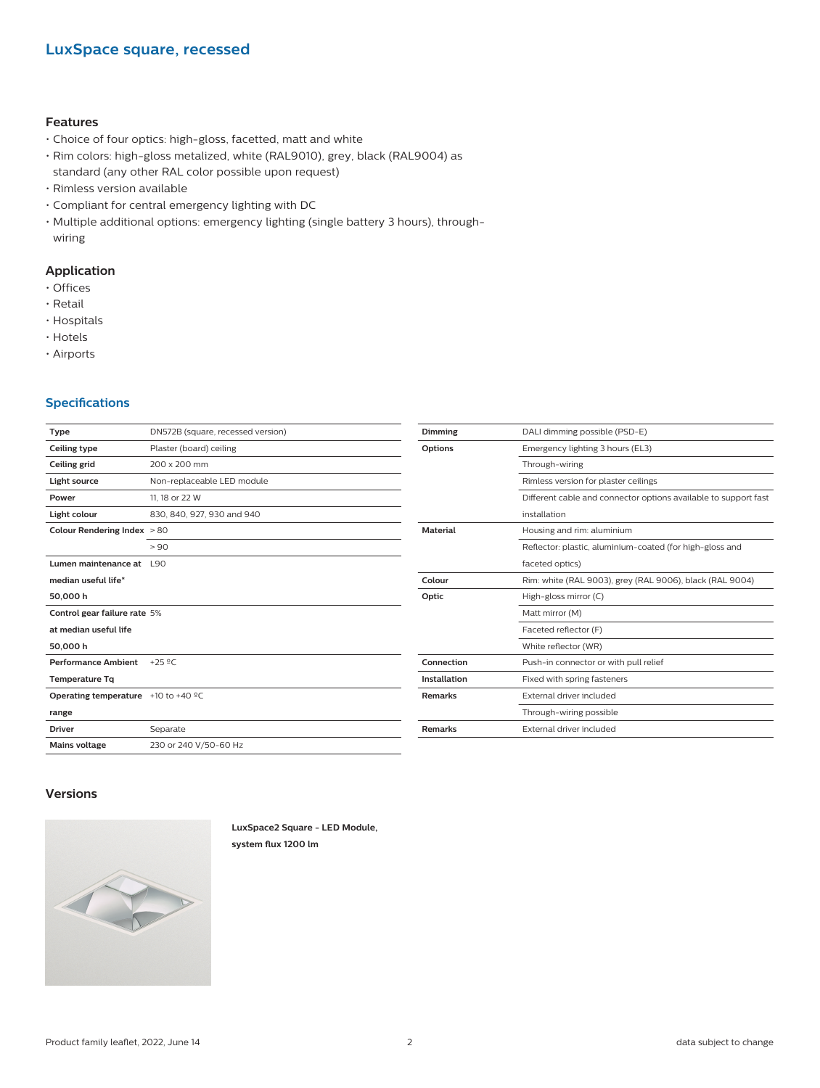#### **Features**

- Choice of four optics: high-gloss, facetted, matt and white
- Rim colors: high-gloss metalized, white (RAL9010), grey, black (RAL9004) as standard (any other RAL color possible upon request)
- Rimless version available
- Compliant for central emergency lighting with DC
- Multiple additional options: emergency lighting (single battery 3 hours), throughwiring

#### **Application**

- Offices
- Retail
- Hospitals
- Hotels
- Airports

#### **Specifications**

| Type                                                       | DN572B (square, recessed version) | Dimming        | DALI dimming possible (PSD-E)                                   |  |
|------------------------------------------------------------|-----------------------------------|----------------|-----------------------------------------------------------------|--|
| Ceiling type                                               | Plaster (board) ceiling           | Options        | Emergency lighting 3 hours (EL3)                                |  |
| Ceiling grid                                               | 200 x 200 mm                      |                | Through-wiring                                                  |  |
| Light source                                               | Non-replaceable LED module        |                | Rimless version for plaster ceilings                            |  |
| Power                                                      | 11, 18 or 22 W                    |                | Different cable and connector options available to support fast |  |
| Light colour                                               | 830, 840, 927, 930 and 940        |                | installation                                                    |  |
|                                                            | Colour Rendering Index > 80       |                | Housing and rim: aluminium                                      |  |
|                                                            | > 90                              |                | Reflector: plastic, aluminium-coated (for high-gloss and        |  |
| Lumen maintenance at                                       | L90                               |                | faceted optics)                                                 |  |
| median useful life*                                        |                                   | Colour         | Rim: white (RAL 9003), grey (RAL 9006), black (RAL 9004)        |  |
| 50,000h                                                    |                                   | Optic          | High-gloss mirror (C)                                           |  |
| Control gear failure rate 5%                               |                                   |                | Matt mirror (M)                                                 |  |
| at median useful life                                      |                                   |                | Faceted reflector (F)                                           |  |
| 50,000h                                                    |                                   |                | White reflector (WR)                                            |  |
| <b>Performance Ambient</b>                                 | +25 °C                            | Connection     | Push-in connector or with pull relief                           |  |
| <b>Temperature Tq</b>                                      |                                   | Installation   | Fixed with spring fasteners                                     |  |
| <b>Operating temperature</b> $+10$ to $+40$ <sup>o</sup> C |                                   | <b>Remarks</b> | External driver included                                        |  |
| range                                                      |                                   |                | Through-wiring possible                                         |  |
| <b>Driver</b>                                              | Separate                          | <b>Remarks</b> | External driver included                                        |  |
| <b>Mains voltage</b>                                       | 230 or 240 V/50-60 Hz             |                |                                                                 |  |
|                                                            |                                   |                |                                                                 |  |

#### **Versions**



**LuxSpace2 Square - LED Module, system flux 1200 lm**